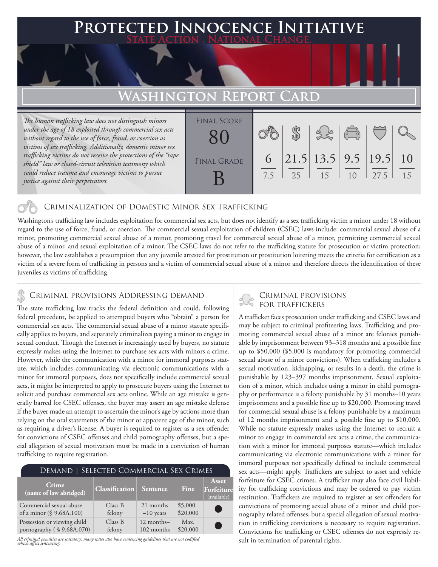# **PTED INNOCENCE INITIATIVE State Action . National Change.**

## **Washington Report Card**

*The human trafficking law does not distinguish minors under the age of 18 exploited through commercial sex acts without regard to the use of force, fraud, or coercion as victims of sex trafficking. Additionally, domestic minor sex trafficking victims do not receive the protections of the "rape shield" law or closed-circuit television testimony which could reduce trauma and encourage victims to pursue justice against their perpetrators.*

| <b>FINAL SCORE</b> |          |    |                                    | $\begin{pmatrix} 0 & 0 \\ 0 & 0 \end{pmatrix}$ |       |                       |
|--------------------|----------|----|------------------------------------|------------------------------------------------|-------|-----------------------|
| <b>FINAL GRADE</b> | 6<br>7.5 | 25 | $21.5$   13.5   9.5   19.5  <br>15 | 10                                             | 127.5 | $\overline{10}$<br>15 |

### Criminalization of Domestic Minor Sex Trafficking

Washington's trafficking law includes exploitation for commercial sex acts, but does not identify as a sex trafficking victim a minor under 18 without regard to the use of force, fraud, or coercion. The commercial sexual exploitation of children (CSEC) laws include: commercial sexual abuse of a minor, promoting commercial sexual abuse of a minor, promoting travel for commercial sexual abuse of a minor, permitting commercial sexual abuse of a minor, and sexual exploitation of a minor. The CSEC laws do not refer to the trafficking statute for prosecution or victim protection; however, the law establishes a presumption that any juvenile arrested for prostitution or prostitution loitering meets the criteria for certification as a victim of a severe form of trafficking in persons and a victim of commercial sexual abuse of a minor and therefore directs the identification of these juveniles as victims of trafficking.

# CRIMINAL PROVISIONS ADDRESSING DEMAND<br>The state trafficking law tracks the foderal definition and could following FOR TRAFFICKERS

The state trafficking law tracks the federal definition and could, following federal precedent, be applied to attempted buyers who "obtain" a person for commercial sex acts. The commercial sexual abuse of a minor statute specifically applies to buyers, and separately criminalizes paying a minor to engage in sexual conduct. Though the Internet is increasingly used by buyers, no statute expressly makes using the Internet to purchase sex acts with minors a crime. However, while the communication with a minor for immoral purposes statute, which includes communicating via electronic communications with a minor for immoral purposes, does not specifically include commercial sexual acts, it might be interpreted to apply to prosecute buyers using the Internet to solicit and purchase commercial sex acts online. While an age mistake is generally barred for CSEC offenses, the buyer may assert an age mistake defense if the buyer made an attempt to ascertain the minor's age by actions more than relying on the oral statements of the minor or apparent age of the minor, such as requiring a driver's license. A buyer is required to register as a sex offender for convictions of CSEC offenses and child pornography offenses, but a special allegation of sexual motivation must be made in a conviction of human trafficking to require registration.

| DEMAND   SELECTED COMMERCIAL SEX CRIMES |                       |             |           |                                    |  |  |  |  |
|-----------------------------------------|-----------------------|-------------|-----------|------------------------------------|--|--|--|--|
| <b>Crime</b><br>(name of law abridged)  | <b>Classification</b> | Sentence    | Fine      | Asset<br>Forfeiture<br>(available) |  |  |  |  |
| Commercial sexual abuse                 | Class B               | 21 months   | $$5,000-$ | Œ                                  |  |  |  |  |
| of a minor (§ 9.68A.100)                | felony                | $-10$ years | \$20,000  |                                    |  |  |  |  |
| Possession or viewing child             | Class B               | 12 months-  | Max.      | C.                                 |  |  |  |  |
| pornography (§9.68A.070)                | felony                | 102 months  | \$20,000  |                                    |  |  |  |  |

*All criminal penalties are statutory; many states also have sentencing guidelines that are not codified which affect sentencing.* 

A trafficker faces prosecution under trafficking and CSEC laws and may be subject to criminal profiteering laws. Trafficking and promoting commercial sexual abuse of a minor are felonies punishable by imprisonment between 93–318 months and a possible fine up to \$50,000 (\$5,000 is mandatory for promoting commercial sexual abuse of a minor convictions). When trafficking includes a sexual motivation, kidnapping, or results in a death, the crime is punishable by 123–397 months imprisonment. Sexual exploitation of a minor, which includes using a minor in child pornography or performance is a felony punishable by 31 months–10 years imprisonment and a possible fine up to \$20,000. Promoting travel for commercial sexual abuse is a felony punishable by a maximum of 12 months imprisonment and a possible fine up to \$10,000. While no statute expressly makes using the Internet to recruit a minor to engage in commercial sex acts a crime, the communication with a minor for immoral purposes statute—which includes communicating via electronic communications with a minor for immoral purposes not specifically defined to include commercial sex acts—might apply. Traffickers are subject to asset and vehicle forfeiture for CSEC crimes. A trafficker may also face civil liability for trafficking convictions and may be ordered to pay victim restitution. Traffickers are required to register as sex offenders for convictions of promoting sexual abuse of a minor and child pornography related offenses, but a special allegation of sexual motivation in trafficking convictions is necessary to require registration. Convictions for trafficking or CSEC offenses do not expressly result in termination of parental rights.